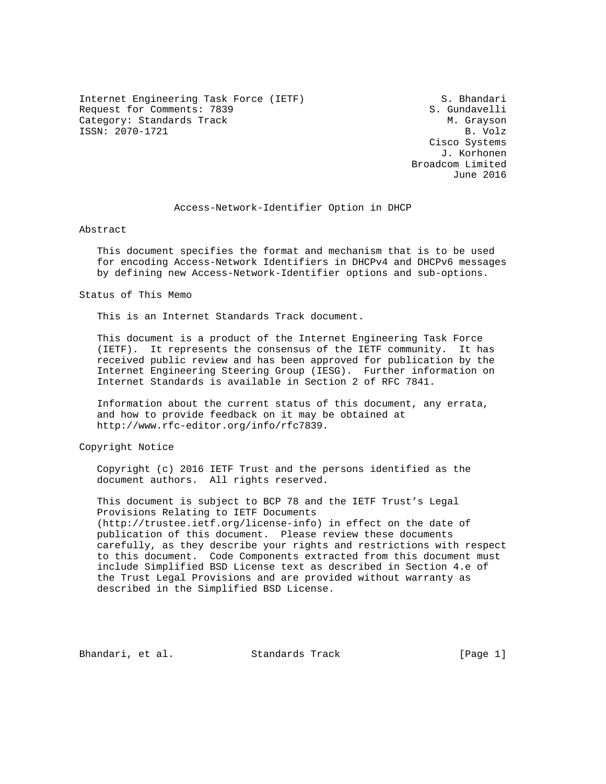Internet Engineering Task Force (IETF) S. Bhandari Request for Comments: 7839 S. Gundavelli Category: Standards Track Metal Metal Category: Standards Track ISSN: 2070-1721 B. Volz

 Cisco Systems J. Korhonen Broadcom Limited June 2016

#### Access-Network-Identifier Option in DHCP

Abstract

 This document specifies the format and mechanism that is to be used for encoding Access-Network Identifiers in DHCPv4 and DHCPv6 messages by defining new Access-Network-Identifier options and sub-options.

Status of This Memo

This is an Internet Standards Track document.

 This document is a product of the Internet Engineering Task Force (IETF). It represents the consensus of the IETF community. It has received public review and has been approved for publication by the Internet Engineering Steering Group (IESG). Further information on Internet Standards is available in Section 2 of RFC 7841.

 Information about the current status of this document, any errata, and how to provide feedback on it may be obtained at http://www.rfc-editor.org/info/rfc7839.

Copyright Notice

 Copyright (c) 2016 IETF Trust and the persons identified as the document authors. All rights reserved.

 This document is subject to BCP 78 and the IETF Trust's Legal Provisions Relating to IETF Documents (http://trustee.ietf.org/license-info) in effect on the date of publication of this document. Please review these documents carefully, as they describe your rights and restrictions with respect to this document. Code Components extracted from this document must include Simplified BSD License text as described in Section 4.e of the Trust Legal Provisions and are provided without warranty as described in the Simplified BSD License.

Bhandari, et al. Standards Track [Page 1]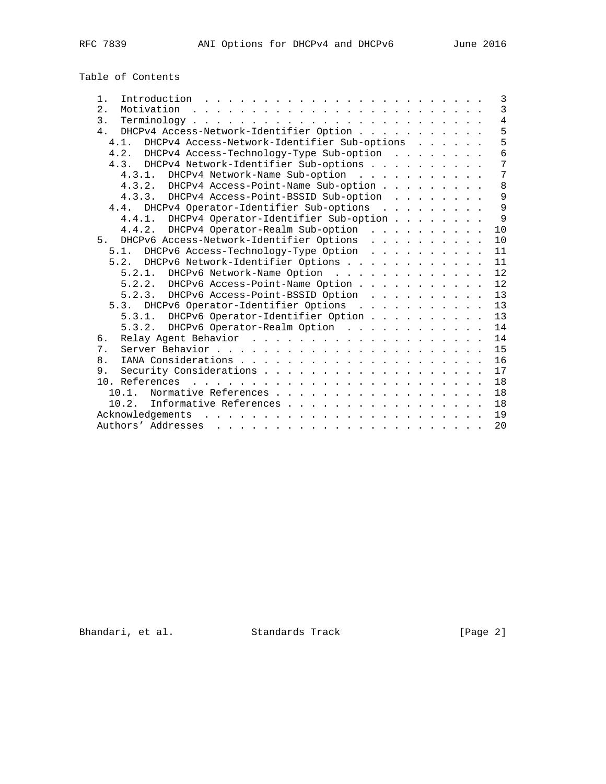| Table of Contents |
|-------------------|
|-------------------|

| 1.                                                                                                                                  | 3              |
|-------------------------------------------------------------------------------------------------------------------------------------|----------------|
| 2.                                                                                                                                  | $\overline{3}$ |
| 3.<br>$Terminology \ldots \ldots \ldots \ldots \ldots \ldots \ldots \ldots \ldots$                                                  | $\overline{4}$ |
| DHCPv4 Access-Network-Identifier Option<br>4.                                                                                       | 5              |
| DHCPv4 Access-Network-Identifier Sub-options<br>4.1                                                                                 | 5              |
| DHCPv4 Access-Technology-Type Sub-option<br>4.2.                                                                                    | 6              |
| 4.3. DHCPv4 Network-Identifier Sub-options                                                                                          | 7              |
| 4.3.1. DHCPv4 Network-Name Sub-option                                                                                               | 7              |
| 4.3.2. DHCPv4 Access-Point-Name Sub-option                                                                                          | 8              |
| 4.3.3. DHCPv4 Access-Point-BSSID Sub-option                                                                                         | 9              |
| DHCPv4 Operator-Identifier Sub-options<br>4.4.                                                                                      | 9              |
| 4.4.1. DHCPv4 Operator-Identifier Sub-option                                                                                        | 9              |
| 4.4.2. DHCPv4 Operator-Realm Sub-option                                                                                             | 10             |
| DHCPv6 Access-Network-Identifier Options<br>5 <sub>1</sub>                                                                          | 10             |
| 5.1. DHCPv6 Access-Technology-Type Option                                                                                           | 11             |
| 5.2. DHCPv6 Network-Identifier Options                                                                                              | 11             |
| 5.2.1. DHCPv6 Network-Name Option                                                                                                   | 12             |
| 5.2.2. DHCPv6 Access-Point-Name Option                                                                                              | 12             |
| 5.2.3. DHCPv6 Access-Point-BSSID Option                                                                                             | 13             |
| 5.3. DHCPv6 Operator-Identifier Options                                                                                             | 13             |
| 5.3.1. DHCPv6 Operator-Identifier Option                                                                                            | 13             |
| 5.3.2. DHCPv6 Operator-Realm Option                                                                                                 | 14             |
| б.                                                                                                                                  | 14             |
| 7.                                                                                                                                  | 15             |
| 8.                                                                                                                                  | 16             |
| 9.                                                                                                                                  | 17             |
| 10. References .<br>the contract of the contract of the contract of the contract of the contract of the contract of the contract of | 18             |
| Normative References<br>10.1.                                                                                                       | 18             |
| Informative References<br>10.2.                                                                                                     | 18             |
| Acknowledgements                                                                                                                    | 19             |
| Authors' Addresses<br>المتناول والمتناول والمتناول والمناول والمناول والمناول والمناول والمناول                                     | 20             |
|                                                                                                                                     |                |

Bhandari, et al. Standards Track [Page 2]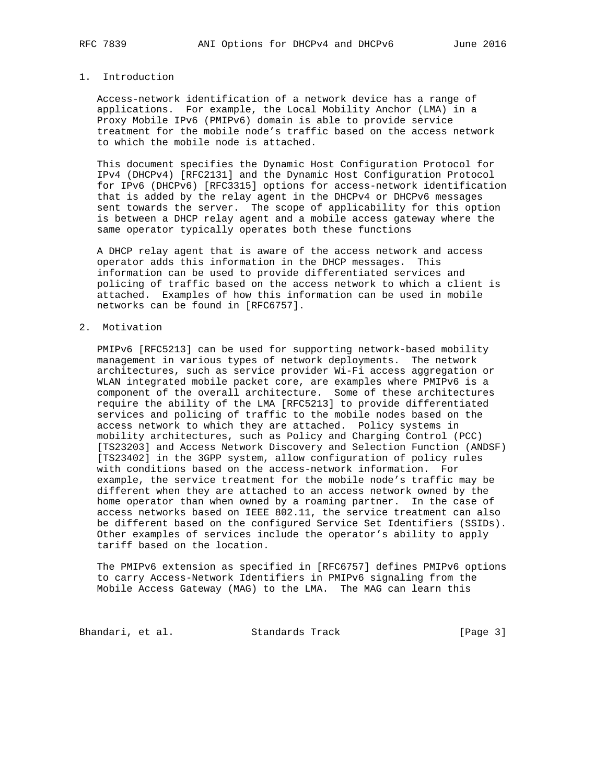#### 1. Introduction

 Access-network identification of a network device has a range of applications. For example, the Local Mobility Anchor (LMA) in a Proxy Mobile IPv6 (PMIPv6) domain is able to provide service treatment for the mobile node's traffic based on the access network to which the mobile node is attached.

 This document specifies the Dynamic Host Configuration Protocol for IPv4 (DHCPv4) [RFC2131] and the Dynamic Host Configuration Protocol for IPv6 (DHCPv6) [RFC3315] options for access-network identification that is added by the relay agent in the DHCPv4 or DHCPv6 messages sent towards the server. The scope of applicability for this option is between a DHCP relay agent and a mobile access gateway where the same operator typically operates both these functions

 A DHCP relay agent that is aware of the access network and access operator adds this information in the DHCP messages. This information can be used to provide differentiated services and policing of traffic based on the access network to which a client is attached. Examples of how this information can be used in mobile networks can be found in [RFC6757].

#### 2. Motivation

 PMIPv6 [RFC5213] can be used for supporting network-based mobility management in various types of network deployments. The network architectures, such as service provider Wi-Fi access aggregation or WLAN integrated mobile packet core, are examples where PMIPv6 is a component of the overall architecture. Some of these architectures require the ability of the LMA [RFC5213] to provide differentiated services and policing of traffic to the mobile nodes based on the access network to which they are attached. Policy systems in mobility architectures, such as Policy and Charging Control (PCC) [TS23203] and Access Network Discovery and Selection Function (ANDSF) [TS23402] in the 3GPP system, allow configuration of policy rules with conditions based on the access-network information. For example, the service treatment for the mobile node's traffic may be different when they are attached to an access network owned by the home operator than when owned by a roaming partner. In the case of access networks based on IEEE 802.11, the service treatment can also be different based on the configured Service Set Identifiers (SSIDs). Other examples of services include the operator's ability to apply tariff based on the location.

 The PMIPv6 extension as specified in [RFC6757] defines PMIPv6 options to carry Access-Network Identifiers in PMIPv6 signaling from the Mobile Access Gateway (MAG) to the LMA. The MAG can learn this

Bhandari, et al. Standards Track [Page 3]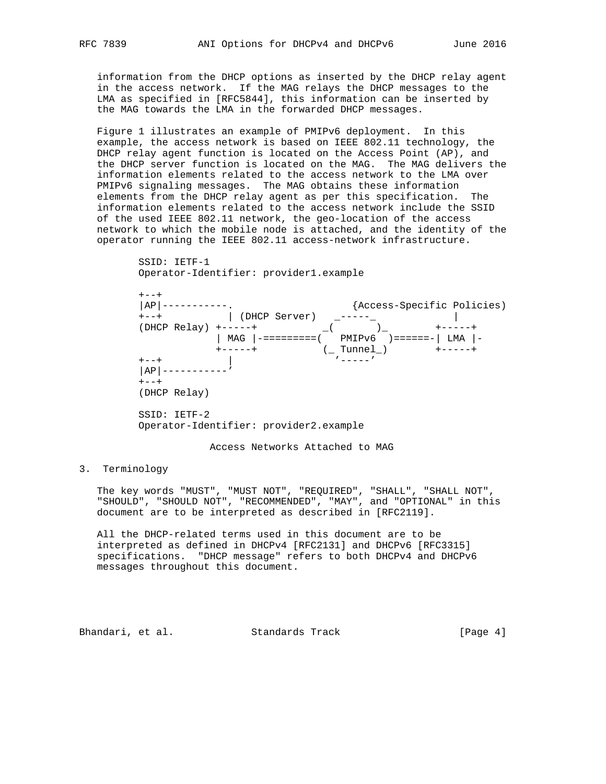information from the DHCP options as inserted by the DHCP relay agent in the access network. If the MAG relays the DHCP messages to the LMA as specified in [RFC5844], this information can be inserted by the MAG towards the LMA in the forwarded DHCP messages.

 Figure 1 illustrates an example of PMIPv6 deployment. In this example, the access network is based on IEEE 802.11 technology, the DHCP relay agent function is located on the Access Point (AP), and the DHCP server function is located on the MAG. The MAG delivers the information elements related to the access network to the LMA over PMIPv6 signaling messages. The MAG obtains these information elements from the DHCP relay agent as per this specification. The information elements related to the access network include the SSID of the used IEEE 802.11 network, the geo-location of the access network to which the mobile node is attached, and the identity of the operator running the IEEE 802.11 access-network infrastructure.

> SSID: IETF-1 Operator-Identifier: provider1.example

 $+--+$  |AP|-----------. {Access-Specific Policies) +--+ | (DHCP Server) \_-----\_ | (DHCP Relay) +-----+ \_( )\_ +-----+ | MAG |-=========( PMIPv6 )======-| LMA |- +-----+ (\_ Tunnel\_) +-----+ +--+ | '-----' |AP|-----------'  $+ - - +$  (DHCP Relay) SSID: IETF-2 Operator-Identifier: provider2.example

Access Networks Attached to MAG

3. Terminology

 The key words "MUST", "MUST NOT", "REQUIRED", "SHALL", "SHALL NOT", "SHOULD", "SHOULD NOT", "RECOMMENDED", "MAY", and "OPTIONAL" in this document are to be interpreted as described in [RFC2119].

 All the DHCP-related terms used in this document are to be interpreted as defined in DHCPv4 [RFC2131] and DHCPv6 [RFC3315] specifications. "DHCP message" refers to both DHCPv4 and DHCPv6 messages throughout this document.

Bhandari, et al. Standards Track [Page 4]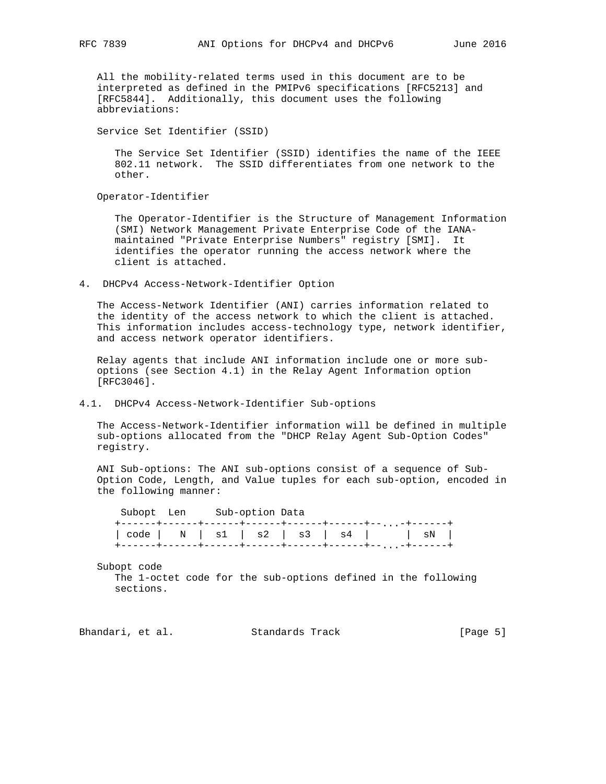All the mobility-related terms used in this document are to be interpreted as defined in the PMIPv6 specifications [RFC5213] and [RFC5844]. Additionally, this document uses the following abbreviations:

Service Set Identifier (SSID)

 The Service Set Identifier (SSID) identifies the name of the IEEE 802.11 network. The SSID differentiates from one network to the other.

Operator-Identifier

 The Operator-Identifier is the Structure of Management Information (SMI) Network Management Private Enterprise Code of the IANA maintained "Private Enterprise Numbers" registry [SMI]. It identifies the operator running the access network where the client is attached.

4. DHCPv4 Access-Network-Identifier Option

 The Access-Network Identifier (ANI) carries information related to the identity of the access network to which the client is attached. This information includes access-technology type, network identifier, and access network operator identifiers.

 Relay agents that include ANI information include one or more sub options (see Section 4.1) in the Relay Agent Information option [RFC3046].

#### 4.1. DHCPv4 Access-Network-Identifier Sub-options

 The Access-Network-Identifier information will be defined in multiple sub-options allocated from the "DHCP Relay Agent Sub-Option Codes" registry.

 ANI Sub-options: The ANI sub-options consist of a sequence of Sub- Option Code, Length, and Value tuples for each sub-option, encoded in the following manner:

 Subopt Len Sub-option Data +------+------+------+------+------+------+--...-+------+ | code | N | s1 | s2 | s3 | s4 | | | sN | +------+------+------+------+------+------+--...-+------+

 Subopt code The 1-octet code for the sub-options defined in the following sections.

Bhandari, et al. Standards Track [Page 5]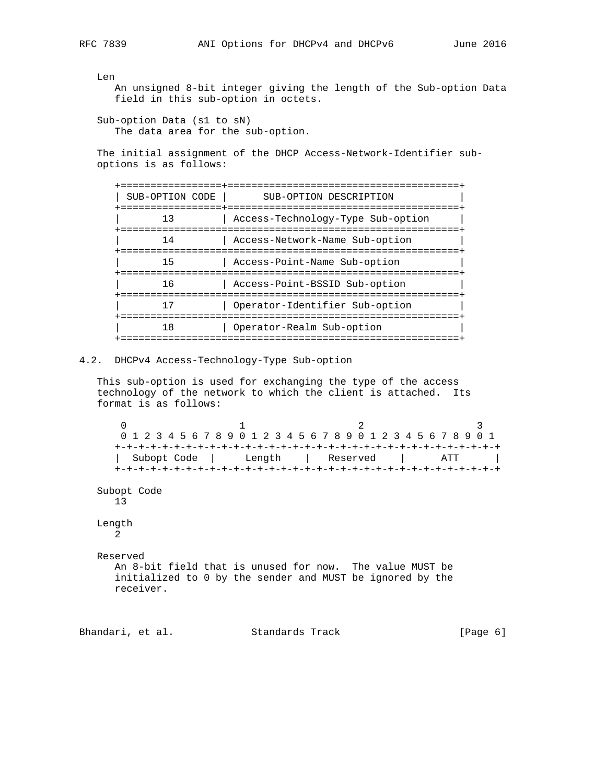Len

 An unsigned 8-bit integer giving the length of the Sub-option Data field in this sub-option in octets.

 Sub-option Data (s1 to sN) The data area for the sub-option.

 The initial assignment of the DHCP Access-Network-Identifier sub options is as follows:

| SUB-OPTION CODE | SUB-OPTION DESCRIPTION                                         |
|-----------------|----------------------------------------------------------------|
| 13              | Access-Technology-Type Sub-option<br>------------------------- |
| 14              | Access-Network-Name Sub-option                                 |
| 15              | Access-Point-Name Sub-option                                   |
| 16              | Access-Point-BSSID Sub-option                                  |
|                 | Operator-Identifier Sub-option                                 |
| 18              | Operator-Realm Sub-option                                      |
|                 |                                                                |

# 4.2. DHCPv4 Access-Technology-Type Sub-option

 This sub-option is used for exchanging the type of the access technology of the network to which the client is attached. Its format is as follows:

0  $1$  2 3 0 1 2 3 4 5 6 7 8 9 0 1 2 3 4 5 6 7 8 9 0 1 2 3 4 5 6 7 8 9 0 1 +-+-+-+-+-+-+-+-+-+-+-+-+-+-+-+-+-+-+-+-+-+-+-+-+-+-+-+-+-+-+-+-+ Subopt Code | Length | Reserved | ATT | +-+-+-+-+-+-+-+-+-+-+-+-+-+-+-+-+-+-+-+-+-+-+-+-+-+-+-+-+-+-+-+-+

 Subopt Code 13

#### Length 2

 Reserved An 8-bit field that is unused for now. The value MUST be initialized to 0 by the sender and MUST be ignored by the receiver.

Bhandari, et al. Standards Track [Page 6]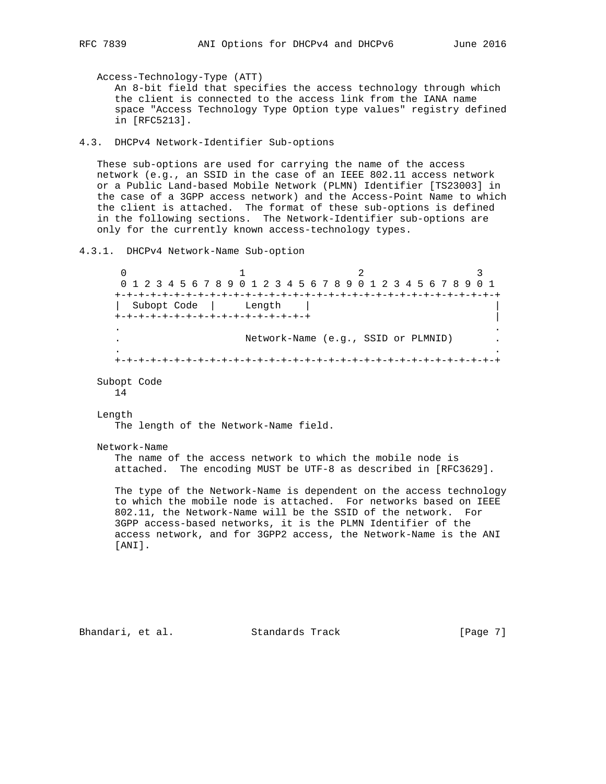Access-Technology-Type (ATT)

 An 8-bit field that specifies the access technology through which the client is connected to the access link from the IANA name space "Access Technology Type Option type values" registry defined in [RFC5213].

# 4.3. DHCPv4 Network-Identifier Sub-options

 These sub-options are used for carrying the name of the access network (e.g., an SSID in the case of an IEEE 802.11 access network or a Public Land-based Mobile Network (PLMN) Identifier [TS23003] in the case of a 3GPP access network) and the Access-Point Name to which the client is attached. The format of these sub-options is defined in the following sections. The Network-Identifier sub-options are only for the currently known access-technology types.

#### 4.3.1. DHCPv4 Network-Name Sub-option

 $0$  1 2 3 0 1 2 3 4 5 6 7 8 9 0 1 2 3 4 5 6 7 8 9 0 1 2 3 4 5 6 7 8 9 0 1 +-+-+-+-+-+-+-+-+-+-+-+-+-+-+-+-+-+-+-+-+-+-+-+-+-+-+-+-+-+-+-+-+ | Subopt Code | Length | | +-+-+-+-+-+-+-+-+-+-+-+-+-+-+-+-+ | . . . Network-Name (e.g., SSID or PLMNID) . . . +-+-+-+-+-+-+-+-+-+-+-+-+-+-+-+-+-+-+-+-+-+-+-+-+-+-+-+-+-+-+-+-+

 Subopt Code 14

Length

The length of the Network-Name field.

Network-Name

 The name of the access network to which the mobile node is attached. The encoding MUST be UTF-8 as described in [RFC3629].

 The type of the Network-Name is dependent on the access technology to which the mobile node is attached. For networks based on IEEE 802.11, the Network-Name will be the SSID of the network. For 3GPP access-based networks, it is the PLMN Identifier of the access network, and for 3GPP2 access, the Network-Name is the ANI [ANI].

Bhandari, et al. Standards Track [Page 7]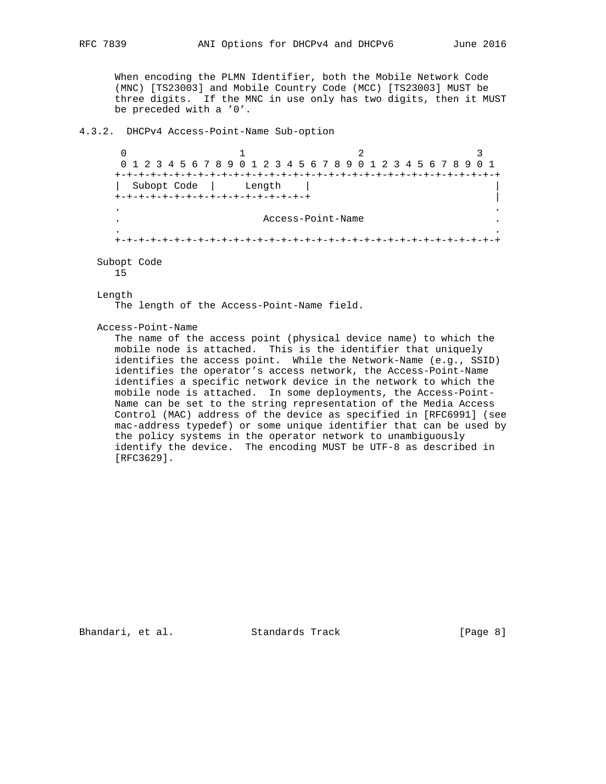When encoding the PLMN Identifier, both the Mobile Network Code (MNC) [TS23003] and Mobile Country Code (MCC) [TS23003] MUST be three digits. If the MNC in use only has two digits, then it MUST be preceded with a '0'.

## 4.3.2. DHCPv4 Access-Point-Name Sub-option

 $\begin{array}{ccccccccccccc}\n0 & & & & & 1 & & & & & 2 & & & & 3\n\end{array}$  0 1 2 3 4 5 6 7 8 9 0 1 2 3 4 5 6 7 8 9 0 1 2 3 4 5 6 7 8 9 0 1 +-+-+-+-+-+-+-+-+-+-+-+-+-+-+-+-+-+-+-+-+-+-+-+-+-+-+-+-+-+-+-+-+ | Subopt Code | Length | | +-+-+-+-+-+-+-+-+-+-+-+-+-+-+-+-+ | . . . Access-Point-Name . . . +-+-+-+-+-+-+-+-+-+-+-+-+-+-+-+-+-+-+-+-+-+-+-+-+-+-+-+-+-+-+-+-+ Subopt Code 15 Length The length of the Access-Point-Name field. Access-Point-Name The name of the access point (physical device name) to which the mobile node is attached. This is the identifier that uniquely identifies the access point. While the Network-Name (e.g., SSID) identifies the operator's access network, the Access-Point-Name identifies a specific network device in the network to which the mobile node is attached. In some deployments, the Access-Point- Name can be set to the string representation of the Media Access Control (MAC) address of the device as specified in [RFC6991] (see

mac-address typedef) or some unique identifier that can be used by

the policy systems in the operator network to unambiguously

 identify the device. The encoding MUST be UTF-8 as described in [RFC3629].

Bhandari, et al. Standards Track [Page 8]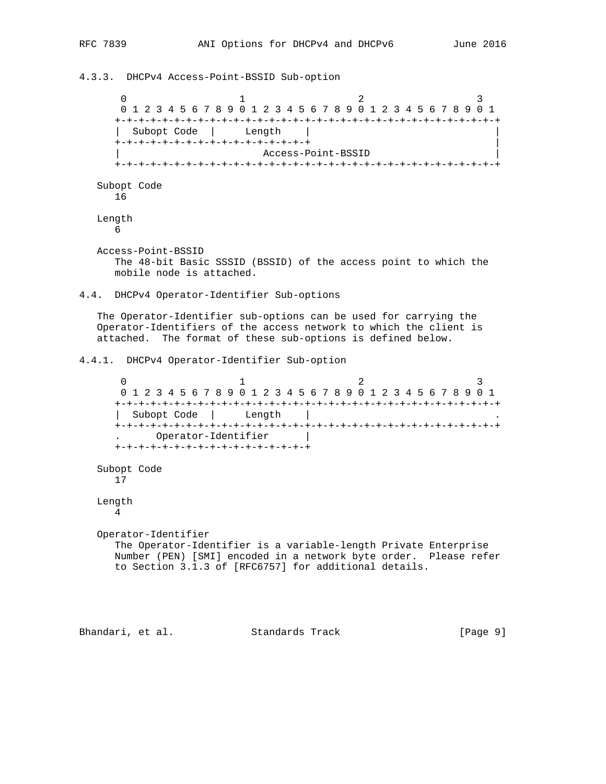4.3.3. DHCPv4 Access-Point-BSSID Sub-option 0  $1$  2 3 0 1 2 3 4 5 6 7 8 9 0 1 2 3 4 5 6 7 8 9 0 1 2 3 4 5 6 7 8 9 0 1 +-+-+-+-+-+-+-+-+-+-+-+-+-+-+-+-+-+-+-+-+-+-+-+-+-+-+-+-+-+-+-+-+ | Subopt Code | Length | | +-+-+-+-+-+-+-+-+-+-+-+-+-+-+-+-+ | | Access-Point-BSSID | +-+-+-+-+-+-+-+-+-+-+-+-+-+-+-+-+-+-+-+-+-+-+-+-+-+-+-+-+-+-+-+-+ Subopt Code 16 Length 6 Access-Point-BSSID The 48-bit Basic SSSID (BSSID) of the access point to which the mobile node is attached. 4.4. DHCPv4 Operator-Identifier Sub-options The Operator-Identifier sub-options can be used for carrying the Operator-Identifiers of the access network to which the client is attached. The format of these sub-options is defined below. 4.4.1. DHCPv4 Operator-Identifier Sub-option  $0$  1 2 3 0 1 2 3 4 5 6 7 8 9 0 1 2 3 4 5 6 7 8 9 0 1 2 3 4 5 6 7 8 9 0 1 +-+-+-+-+-+-+-+-+-+-+-+-+-+-+-+-+-+-+-+-+-+-+-+-+-+-+-+-+-+-+-+-+ | Subopt Code | Length | +-+-+-+-+-+-+-+-+-+-+-+-+-+-+-+-+-+-+-+-+-+-+-+-+-+-+-+-+-+-+-+-+ . Operator-Identifier | +-+-+-+-+-+-+-+-+-+-+-+-+-+-+-+-+ Subopt Code 17 Length 4 Operator-Identifier The Operator-Identifier is a variable-length Private Enterprise Number (PEN) [SMI] encoded in a network byte order. Please refer to Section 3.1.3 of [RFC6757] for additional details.

Bhandari, et al. Standards Track [Page 9]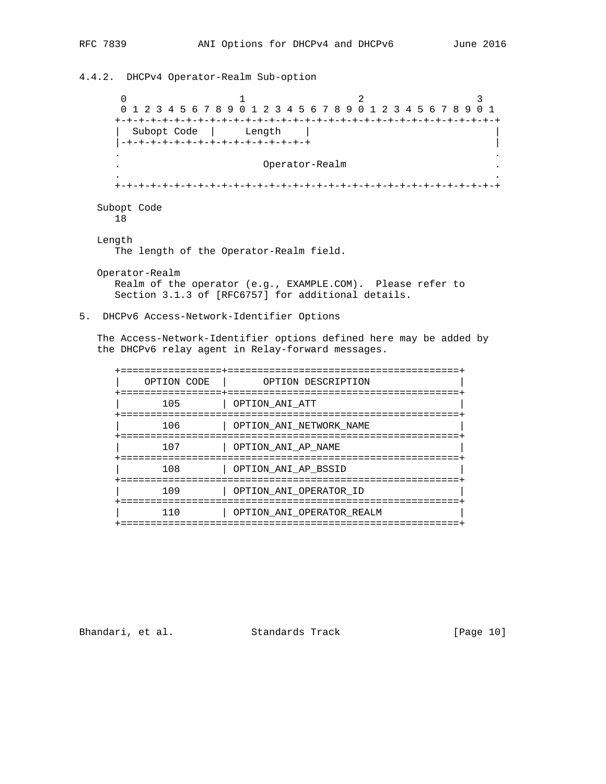```
4.4.2. DHCPv4 Operator-Realm Sub-option
0 1 2 3
 0 1 2 3 4 5 6 7 8 9 0 1 2 3 4 5 6 7 8 9 0 1 2 3 4 5 6 7 8 9 0 1
      +-+-+-+-+-+-+-+-+-+-+-+-+-+-+-+-+-+-+-+-+-+-+-+-+-+-+-+-+-+-+-+-+
      Subopt Code | Length
     |-+-+-+-+-+-+-+-+-+-+-+-+-+-+-+
 . .
                          . Operator-Realm .
 . .
     +-+-+-+-+-+-+-+-+-+-+-+-+-+-+-+-+-+-+-+-+-+-+-+-+-+-+-+-+-+-+-+-+
   Subopt Code
     18
   Length
     The length of the Operator-Realm field.
   Operator-Realm
     Realm of the operator (e.g., EXAMPLE.COM). Please refer to
     Section 3.1.3 of [RFC6757] for additional details.
5. DHCPv6 Access-Network-Identifier Options
   The Access-Network-Identifier options defined here may be added by
   the DHCPv6 relay agent in Relay-forward messages.
      +=================+=======================================+
      | OPTION CODE | OPTION DESCRIPTION |
     +=================+=======================================+
         | 105 | OPTION_ANI_ATT |
     +=========================================================+
```
+=========================================================+

+=========================================================+

+=========================================================+

+=========================================================+

| 106 | OPTION\_ANI\_NETWORK\_NAME

| 107 | OPTION\_ANI\_AP\_NAME |

| 108 | OPTION\_ANI\_AP\_BSSID |

| 109 | OPTION\_ANI\_OPERATOR\_ID |

 | 110 | OPTION\_ANI\_OPERATOR\_REALM | +=========================================================+

Bhandari, et al. Standards Track [Page 10]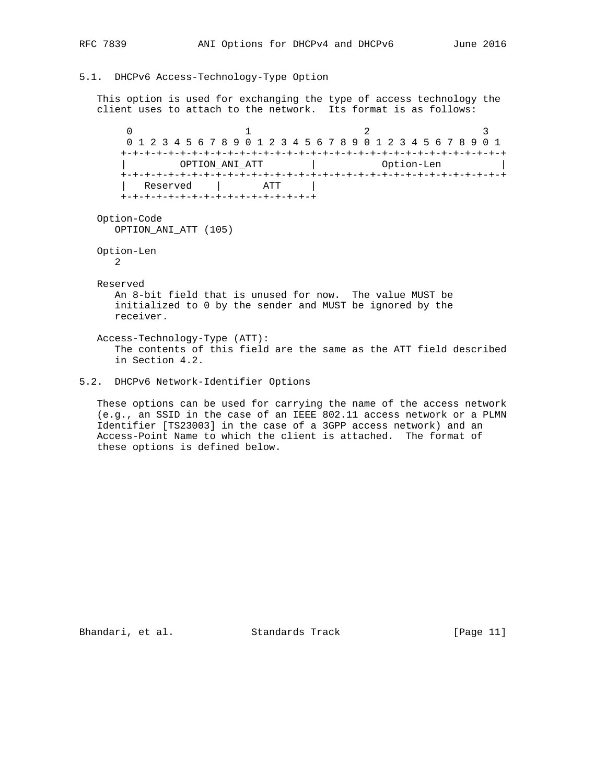# 5.1. DHCPv6 Access-Technology-Type Option

 This option is used for exchanging the type of access technology the client uses to attach to the network. Its format is as follows:

 $0$  1 2 3 0 1 2 3 4 5 6 7 8 9 0 1 2 3 4 5 6 7 8 9 0 1 2 3 4 5 6 7 8 9 0 1 +-+-+-+-+-+-+-+-+-+-+-+-+-+-+-+-+-+-+-+-+-+-+-+-+-+-+-+-+-+-+-+-+ | OPTION\_ANI\_ATT | Option-Len | +-+-+-+-+-+-+-+-+-+-+-+-+-+-+-+-+-+-+-+-+-+-+-+-+-+-+-+-+-+-+-+-+ | Reserved | ATT | +-+-+-+-+-+-+-+-+-+-+-+-+-+-+-+-+

 Option-Code OPTION\_ANI\_ATT (105)

```
 Option-Len
  2
```
Reserved

 An 8-bit field that is unused for now. The value MUST be initialized to 0 by the sender and MUST be ignored by the receiver.

 Access-Technology-Type (ATT): The contents of this field are the same as the ATT field described in Section 4.2.

## 5.2. DHCPv6 Network-Identifier Options

 These options can be used for carrying the name of the access network (e.g., an SSID in the case of an IEEE 802.11 access network or a PLMN Identifier [TS23003] in the case of a 3GPP access network) and an Access-Point Name to which the client is attached. The format of these options is defined below.

Bhandari, et al. Standards Track [Page 11]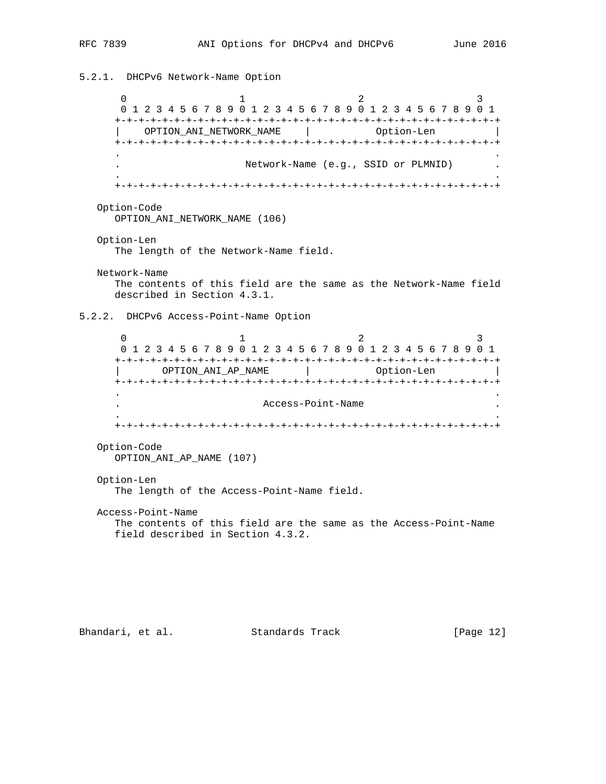5.2.1. DHCPv6 Network-Name Option 0  $1$  2 3 0 1 2 3 4 5 6 7 8 9 0 1 2 3 4 5 6 7 8 9 0 1 2 3 4 5 6 7 8 9 0 1 +-+-+-+-+-+-+-+-+-+-+-+-+-+-+-+-+-+-+-+-+-+-+-+-+-+-+-+-+-+-+-+-+ | OPTION\_ANI\_NETWORK\_NAME | Option-Len | +-+-+-+-+-+-+-+-+-+-+-+-+-+-+-+-+-+-+-+-+-+-+-+-+-+-+-+-+-+-+-+-+ . . . Network-Name (e.g., SSID or PLMNID) . . . +-+-+-+-+-+-+-+-+-+-+-+-+-+-+-+-+-+-+-+-+-+-+-+-+-+-+-+-+-+-+-+-+ Option-Code OPTION\_ANI\_NETWORK\_NAME (106) Option-Len The length of the Network-Name field. Network-Name The contents of this field are the same as the Network-Name field described in Section 4.3.1. 5.2.2. DHCPv6 Access-Point-Name Option  $0$  1 2 3 0 1 2 3 4 5 6 7 8 9 0 1 2 3 4 5 6 7 8 9 0 1 2 3 4 5 6 7 8 9 0 1 +-+-+-+-+-+-+-+-+-+-+-+-+-+-+-+-+-+-+-+-+-+-+-+-+-+-+-+-+-+-+-+-+ | OPTION\_ANI\_AP\_NAME | Option-Len | +-+-+-+-+-+-+-+-+-+-+-+-+-+-+-+-+-+-+-+-+-+-+-+-+-+-+-+-+-+-+-+-+ . . . Access-Point-Name . . . +-+-+-+-+-+-+-+-+-+-+-+-+-+-+-+-+-+-+-+-+-+-+-+-+-+-+-+-+-+-+-+-+ Option-Code OPTION\_ANI\_AP\_NAME (107) Option-Len The length of the Access-Point-Name field. Access-Point-Name The contents of this field are the same as the Access-Point-Name field described in Section 4.3.2.

Bhandari, et al. Standards Track [Page 12]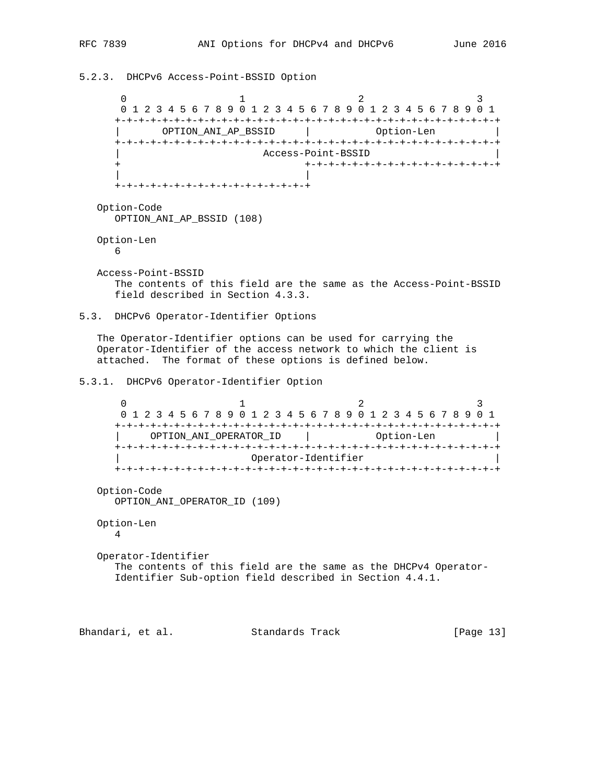```
5.2.3. DHCPv6 Access-Point-BSSID Option
0 1 2 3
 0 1 2 3 4 5 6 7 8 9 0 1 2 3 4 5 6 7 8 9 0 1 2 3 4 5 6 7 8 9 0 1
      +-+-+-+-+-+-+-+-+-+-+-+-+-+-+-+-+-+-+-+-+-+-+-+-+-+-+-+-+-+-+-+-+
      | OPTION_ANI_AP_BSSID | Option-Len |
      +-+-+-+-+-+-+-+-+-+-+-+-+-+-+-+-+-+-+-+-+-+-+-+-+-+-+-+-+-+-+-+-+
                           | Access-Point-BSSID |
                                 + +-+-+-+-+-+-+-+-+-+-+-+-+-+-+-+-+
 | |
      +-+-+-+-+-+-+-+-+-+-+-+-+-+-+-+-+
   Option-Code
     OPTION_ANI_AP_BSSID (108)
   Option-Len
     6
   Access-Point-BSSID
      The contents of this field are the same as the Access-Point-BSSID
      field described in Section 4.3.3.
5.3. DHCPv6 Operator-Identifier Options
   The Operator-Identifier options can be used for carrying the
   Operator-Identifier of the access network to which the client is
   attached. The format of these options is defined below.
5.3.1. DHCPv6 Operator-Identifier Option
0 1 2 3
 0 1 2 3 4 5 6 7 8 9 0 1 2 3 4 5 6 7 8 9 0 1 2 3 4 5 6 7 8 9 0 1
      +-+-+-+-+-+-+-+-+-+-+-+-+-+-+-+-+-+-+-+-+-+-+-+-+-+-+-+-+-+-+-+-+
          | OPTION_ANI_OPERATOR_ID | Option-Len |
      +-+-+-+-+-+-+-+-+-+-+-+-+-+-+-+-+-+-+-+-+-+-+-+-+-+-+-+-+-+-+-+-+
                         | Operator-Identifier |
      +-+-+-+-+-+-+-+-+-+-+-+-+-+-+-+-+-+-+-+-+-+-+-+-+-+-+-+-+-+-+-+-+
   Option-Code
      OPTION_ANI_OPERATOR_ID (109)
   Option-Len
      4
   Operator-Identifier
      The contents of this field are the same as the DHCPv4 Operator-
      Identifier Sub-option field described in Section 4.4.1.
Bhandari, et al. Standards Track [Page 13]
```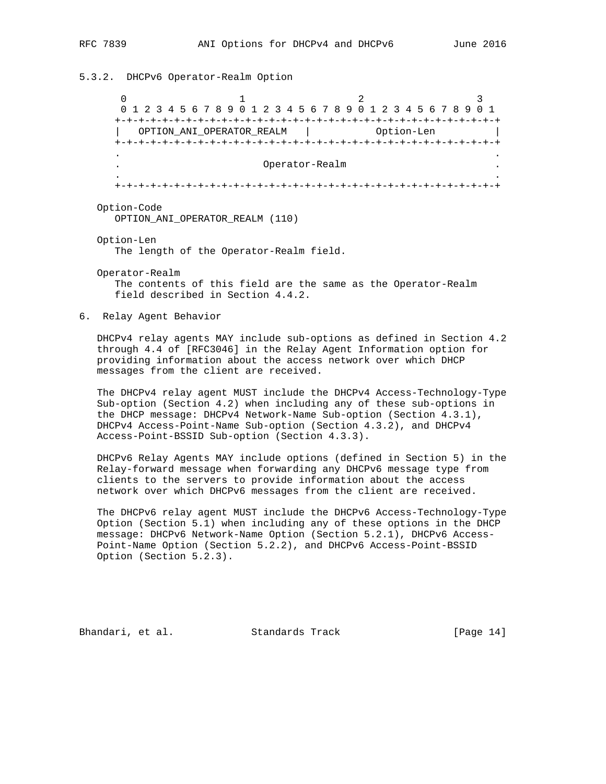# 5.3.2. DHCPv6 Operator-Realm Option 0  $1$  2 3 0 1 2 3 4 5 6 7 8 9 0 1 2 3 4 5 6 7 8 9 0 1 2 3 4 5 6 7 8 9 0 1 +-+-+-+-+-+-+-+-+-+-+-+-+-+-+-+-+-+-+-+-+-+-+-+-+-+-+-+-+-+-+-+-+ | OPTION\_ANI\_OPERATOR\_REALM | Option-Len | +-+-+-+-+-+-+-+-+-+-+-+-+-+-+-+-+-+-+-+-+-+-+-+-+-+-+-+-+-+-+-+-+ . . . Operator-Realm . . . +-+-+-+-+-+-+-+-+-+-+-+-+-+-+-+-+-+-+-+-+-+-+-+-+-+-+-+-+-+-+-+-+ Option-Code OPTION\_ANI\_OPERATOR\_REALM (110) Option-Len The length of the Operator-Realm field. Operator-Realm The contents of this field are the same as the Operator-Realm field described in Section 4.4.2. 6. Relay Agent Behavior DHCPv4 relay agents MAY include sub-options as defined in Section 4.2 through 4.4 of [RFC3046] in the Relay Agent Information option for providing information about the access network over which DHCP messages from the client are received. The DHCPv4 relay agent MUST include the DHCPv4 Access-Technology-Type Sub-option (Section 4.2) when including any of these sub-options in the DHCP message: DHCPv4 Network-Name Sub-option (Section 4.3.1), DHCPv4 Access-Point-Name Sub-option (Section 4.3.2), and DHCPv4 Access-Point-BSSID Sub-option (Section 4.3.3). DHCPv6 Relay Agents MAY include options (defined in Section 5) in the Relay-forward message when forwarding any DHCPv6 message type from clients to the servers to provide information about the access network over which DHCPv6 messages from the client are received. The DHCPv6 relay agent MUST include the DHCPv6 Access-Technology-Type Option (Section 5.1) when including any of these options in the DHCP message: DHCPv6 Network-Name Option (Section 5.2.1), DHCPv6 Access-

Option (Section 5.2.3).

Bhandari, et al. Standards Track [Page 14]

Point-Name Option (Section 5.2.2), and DHCPv6 Access-Point-BSSID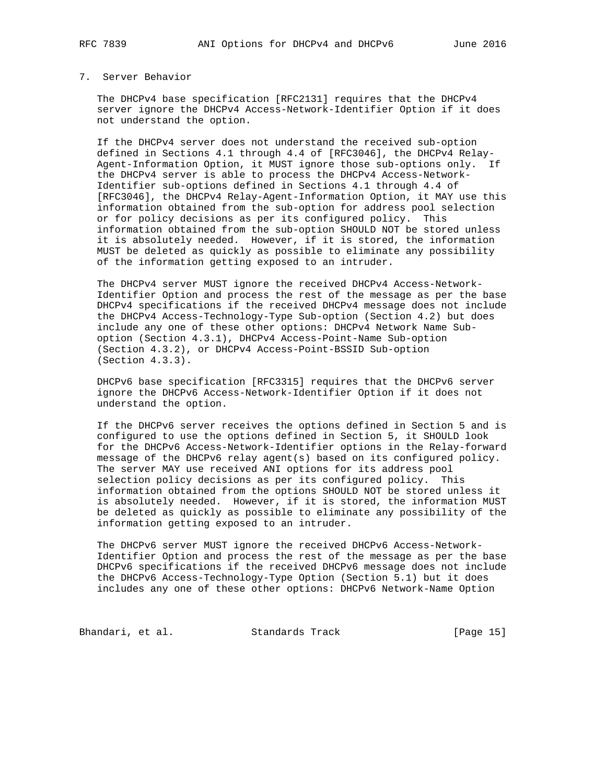#### 7. Server Behavior

 The DHCPv4 base specification [RFC2131] requires that the DHCPv4 server ignore the DHCPv4 Access-Network-Identifier Option if it does not understand the option.

 If the DHCPv4 server does not understand the received sub-option defined in Sections 4.1 through 4.4 of [RFC3046], the DHCPv4 Relay- Agent-Information Option, it MUST ignore those sub-options only. If the DHCPv4 server is able to process the DHCPv4 Access-Network- Identifier sub-options defined in Sections 4.1 through 4.4 of [RFC3046], the DHCPv4 Relay-Agent-Information Option, it MAY use this information obtained from the sub-option for address pool selection or for policy decisions as per its configured policy. This information obtained from the sub-option SHOULD NOT be stored unless it is absolutely needed. However, if it is stored, the information MUST be deleted as quickly as possible to eliminate any possibility of the information getting exposed to an intruder.

 The DHCPv4 server MUST ignore the received DHCPv4 Access-Network- Identifier Option and process the rest of the message as per the base DHCPv4 specifications if the received DHCPv4 message does not include the DHCPv4 Access-Technology-Type Sub-option (Section 4.2) but does include any one of these other options: DHCPv4 Network Name Sub option (Section 4.3.1), DHCPv4 Access-Point-Name Sub-option (Section 4.3.2), or DHCPv4 Access-Point-BSSID Sub-option (Section 4.3.3).

 DHCPv6 base specification [RFC3315] requires that the DHCPv6 server ignore the DHCPv6 Access-Network-Identifier Option if it does not understand the option.

 If the DHCPv6 server receives the options defined in Section 5 and is configured to use the options defined in Section 5, it SHOULD look for the DHCPv6 Access-Network-Identifier options in the Relay-forward message of the DHCPv6 relay agent(s) based on its configured policy. The server MAY use received ANI options for its address pool selection policy decisions as per its configured policy. This information obtained from the options SHOULD NOT be stored unless it is absolutely needed. However, if it is stored, the information MUST be deleted as quickly as possible to eliminate any possibility of the information getting exposed to an intruder.

 The DHCPv6 server MUST ignore the received DHCPv6 Access-Network- Identifier Option and process the rest of the message as per the base DHCPv6 specifications if the received DHCPv6 message does not include the DHCPv6 Access-Technology-Type Option (Section 5.1) but it does includes any one of these other options: DHCPv6 Network-Name Option

Bhandari, et al. Standards Track [Page 15]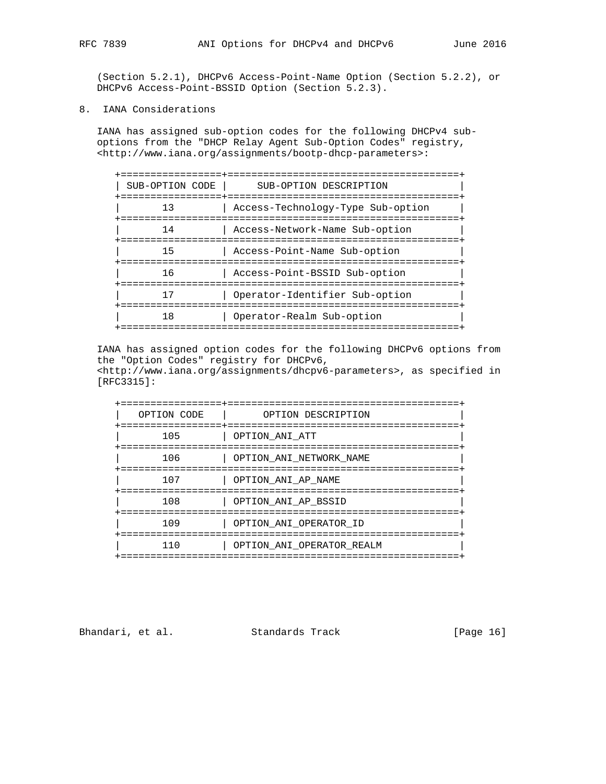(Section 5.2.1), DHCPv6 Access-Point-Name Option (Section 5.2.2), or DHCPv6 Access-Point-BSSID Option (Section 5.2.3).

8. IANA Considerations

 IANA has assigned sub-option codes for the following DHCPv4 sub options from the "DHCP Relay Agent Sub-Option Codes" registry, <http://www.iana.org/assignments/bootp-dhcp-parameters>:

| SUB-OPTION CODE | SUB-OPTION DESCRIPTION            |
|-----------------|-----------------------------------|
| 13              | Access-Technology-Type Sub-option |
| 14              | Access-Network-Name Sub-option    |
| 15              | Access-Point-Name Sub-option      |
| 16              | Access-Point-BSSID Sub-option     |
|                 | Operator-Identifier Sub-option    |
| 18              | Operator-Realm Sub-option         |
|                 |                                   |

 IANA has assigned option codes for the following DHCPv6 options from the "Option Codes" registry for DHCPv6, <http://www.iana.org/assignments/dhcpv6-parameters>, as specified in [RFC3315]:

| OPTION CODE | OPTION DESCRIPTION        |
|-------------|---------------------------|
| 105         | OPTION ANI ATT            |
| 106         | OPTION ANI NETWORK NAME   |
| 107         | OPTION ANI AP NAME        |
| 108         | OPTION ANI AP BSSID       |
| 109         | OPTION ANI OPERATOR ID    |
| 110         | OPTION ANI OPERATOR REALM |
|             |                           |

Bhandari, et al. Standards Track [Page 16]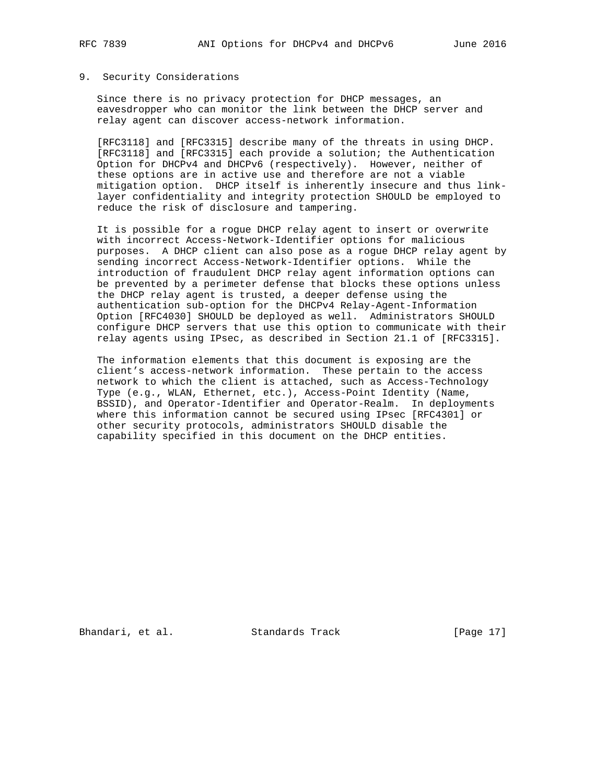# 9. Security Considerations

 Since there is no privacy protection for DHCP messages, an eavesdropper who can monitor the link between the DHCP server and relay agent can discover access-network information.

 [RFC3118] and [RFC3315] describe many of the threats in using DHCP. [RFC3118] and [RFC3315] each provide a solution; the Authentication Option for DHCPv4 and DHCPv6 (respectively). However, neither of these options are in active use and therefore are not a viable mitigation option. DHCP itself is inherently insecure and thus link layer confidentiality and integrity protection SHOULD be employed to reduce the risk of disclosure and tampering.

 It is possible for a rogue DHCP relay agent to insert or overwrite with incorrect Access-Network-Identifier options for malicious purposes. A DHCP client can also pose as a rogue DHCP relay agent by sending incorrect Access-Network-Identifier options. While the introduction of fraudulent DHCP relay agent information options can be prevented by a perimeter defense that blocks these options unless the DHCP relay agent is trusted, a deeper defense using the authentication sub-option for the DHCPv4 Relay-Agent-Information Option [RFC4030] SHOULD be deployed as well. Administrators SHOULD configure DHCP servers that use this option to communicate with their relay agents using IPsec, as described in Section 21.1 of [RFC3315].

 The information elements that this document is exposing are the client's access-network information. These pertain to the access network to which the client is attached, such as Access-Technology Type (e.g., WLAN, Ethernet, etc.), Access-Point Identity (Name, BSSID), and Operator-Identifier and Operator-Realm. In deployments where this information cannot be secured using IPsec [RFC4301] or other security protocols, administrators SHOULD disable the capability specified in this document on the DHCP entities.

Bhandari, et al. Standards Track [Page 17]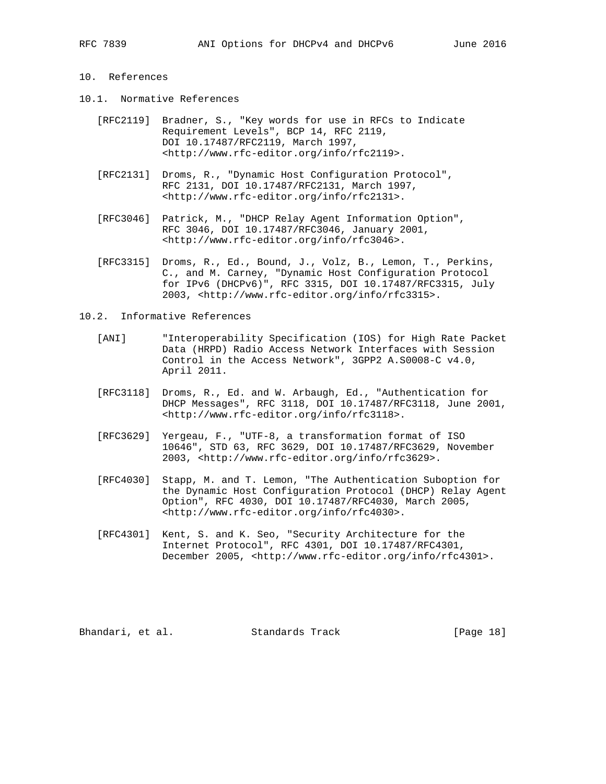## 10. References

- 10.1. Normative References
	- [RFC2119] Bradner, S., "Key words for use in RFCs to Indicate Requirement Levels", BCP 14, RFC 2119, DOI 10.17487/RFC2119, March 1997, <http://www.rfc-editor.org/info/rfc2119>.
	- [RFC2131] Droms, R., "Dynamic Host Configuration Protocol", RFC 2131, DOI 10.17487/RFC2131, March 1997, <http://www.rfc-editor.org/info/rfc2131>.
	- [RFC3046] Patrick, M., "DHCP Relay Agent Information Option", RFC 3046, DOI 10.17487/RFC3046, January 2001, <http://www.rfc-editor.org/info/rfc3046>.
	- [RFC3315] Droms, R., Ed., Bound, J., Volz, B., Lemon, T., Perkins, C., and M. Carney, "Dynamic Host Configuration Protocol for IPv6 (DHCPv6)", RFC 3315, DOI 10.17487/RFC3315, July 2003, <http://www.rfc-editor.org/info/rfc3315>.

#### 10.2. Informative References

- [ANI] "Interoperability Specification (IOS) for High Rate Packet Data (HRPD) Radio Access Network Interfaces with Session Control in the Access Network", 3GPP2 A.S0008-C v4.0, April 2011.
- [RFC3118] Droms, R., Ed. and W. Arbaugh, Ed., "Authentication for DHCP Messages", RFC 3118, DOI 10.17487/RFC3118, June 2001, <http://www.rfc-editor.org/info/rfc3118>.
- [RFC3629] Yergeau, F., "UTF-8, a transformation format of ISO 10646", STD 63, RFC 3629, DOI 10.17487/RFC3629, November 2003, <http://www.rfc-editor.org/info/rfc3629>.
- [RFC4030] Stapp, M. and T. Lemon, "The Authentication Suboption for the Dynamic Host Configuration Protocol (DHCP) Relay Agent Option", RFC 4030, DOI 10.17487/RFC4030, March 2005, <http://www.rfc-editor.org/info/rfc4030>.
- [RFC4301] Kent, S. and K. Seo, "Security Architecture for the Internet Protocol", RFC 4301, DOI 10.17487/RFC4301, December 2005, <http://www.rfc-editor.org/info/rfc4301>.

Bhandari, et al. Standards Track [Page 18]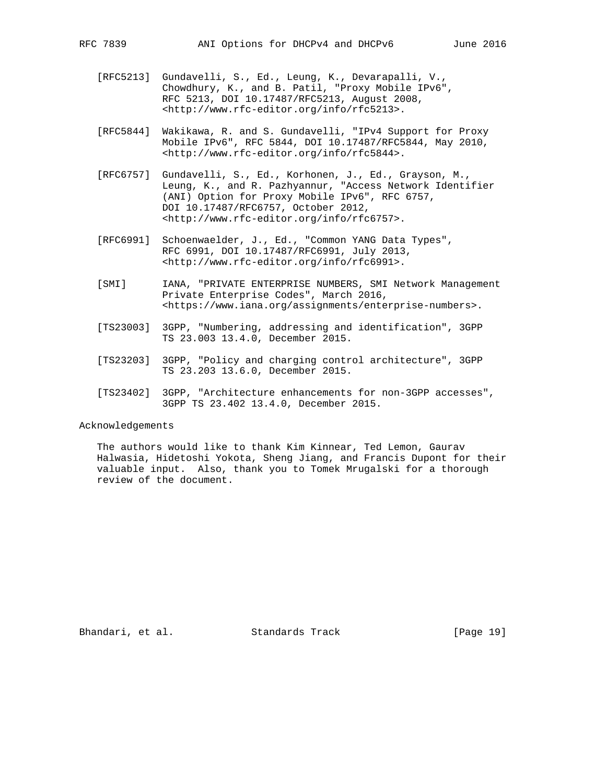- [RFC5213] Gundavelli, S., Ed., Leung, K., Devarapalli, V., Chowdhury, K., and B. Patil, "Proxy Mobile IPv6", RFC 5213, DOI 10.17487/RFC5213, August 2008, <http://www.rfc-editor.org/info/rfc5213>.
- [RFC5844] Wakikawa, R. and S. Gundavelli, "IPv4 Support for Proxy Mobile IPv6", RFC 5844, DOI 10.17487/RFC5844, May 2010, <http://www.rfc-editor.org/info/rfc5844>.
- [RFC6757] Gundavelli, S., Ed., Korhonen, J., Ed., Grayson, M., Leung, K., and R. Pazhyannur, "Access Network Identifier (ANI) Option for Proxy Mobile IPv6", RFC 6757, DOI 10.17487/RFC6757, October 2012, <http://www.rfc-editor.org/info/rfc6757>.
- [RFC6991] Schoenwaelder, J., Ed., "Common YANG Data Types", RFC 6991, DOI 10.17487/RFC6991, July 2013, <http://www.rfc-editor.org/info/rfc6991>.
- [SMI] IANA, "PRIVATE ENTERPRISE NUMBERS, SMI Network Management Private Enterprise Codes", March 2016, <https://www.iana.org/assignments/enterprise-numbers>.
- [TS23003] 3GPP, "Numbering, addressing and identification", 3GPP TS 23.003 13.4.0, December 2015.
- [TS23203] 3GPP, "Policy and charging control architecture", 3GPP TS 23.203 13.6.0, December 2015.
- [TS23402] 3GPP, "Architecture enhancements for non-3GPP accesses", 3GPP TS 23.402 13.4.0, December 2015.

Acknowledgements

 The authors would like to thank Kim Kinnear, Ted Lemon, Gaurav Halwasia, Hidetoshi Yokota, Sheng Jiang, and Francis Dupont for their valuable input. Also, thank you to Tomek Mrugalski for a thorough review of the document.

Bhandari, et al. Standards Track [Page 19]